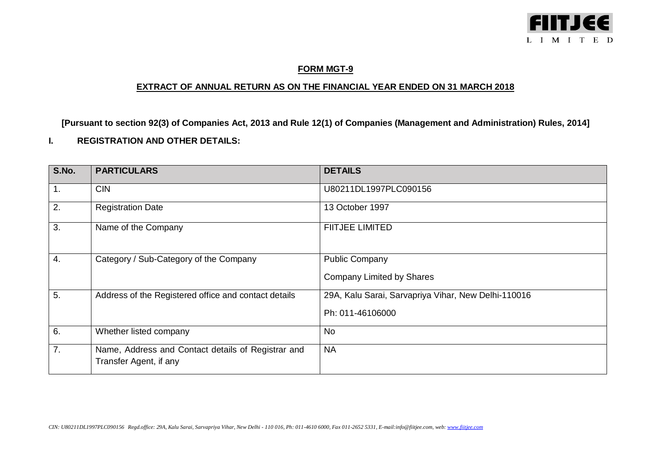

## **FORM MGT-9**

## **EXTRACT OF ANNUAL RETURN AS ON THE FINANCIAL YEAR ENDED ON 31 MARCH 2018**

**[Pursuant to section 92(3) of Companies Act, 2013 and Rule 12(1) of Companies (Management and Administration) Rules, 2014]**

## **I. REGISTRATION AND OTHER DETAILS:**

| S.No. | <b>PARTICULARS</b>                                                           | <b>DETAILS</b>                                                          |
|-------|------------------------------------------------------------------------------|-------------------------------------------------------------------------|
| 1.    | <b>CIN</b>                                                                   | U80211DL1997PLC090156                                                   |
| 2.    | <b>Registration Date</b>                                                     | 13 October 1997                                                         |
| 3.    | Name of the Company                                                          | <b>FIITJEE LIMITED</b>                                                  |
| 4.    | Category / Sub-Category of the Company                                       | <b>Public Company</b><br><b>Company Limited by Shares</b>               |
| 5.    | Address of the Registered office and contact details                         | 29A, Kalu Sarai, Sarvapriya Vihar, New Delhi-110016<br>Ph: 011-46106000 |
| 6.    | Whether listed company                                                       | <b>No</b>                                                               |
| 7.    | Name, Address and Contact details of Registrar and<br>Transfer Agent, if any | <b>NA</b>                                                               |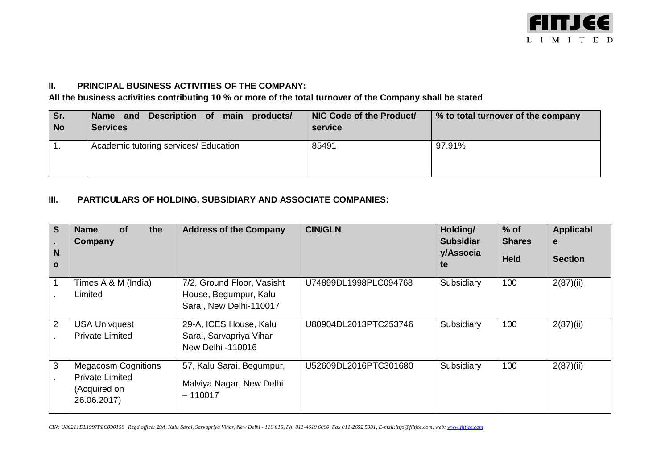

## **II. PRINCIPAL BUSINESS ACTIVITIES OF THE COMPANY:**

**All the business activities contributing 10 % or more of the total turnover of the Company shall be stated**

| Sr.       | Name and Description of main products/ | NIC Code of the Product/ | % to total turnover of the company |
|-----------|----------------------------------------|--------------------------|------------------------------------|
| <b>No</b> | <b>Services</b>                        | service                  |                                    |
|           | Academic tutoring services/ Education  | 85491                    | 97.91%                             |

## **III. PARTICULARS OF HOLDING, SUBSIDIARY AND ASSOCIATE COMPANIES:**

| l S<br>N<br>$\mathbf{o}$ | <b>of</b><br>the<br><b>Name</b><br>Company                                          | <b>Address of the Company</b>                                                  | <b>CIN/GLN</b>        | Holding/<br><b>Subsidiar</b><br>y/Associa<br>te | $%$ of<br><b>Shares</b><br><b>Held</b> | Applicabl<br>e<br><b>Section</b> |
|--------------------------|-------------------------------------------------------------------------------------|--------------------------------------------------------------------------------|-----------------------|-------------------------------------------------|----------------------------------------|----------------------------------|
|                          | Times A & M (India)<br>Limited                                                      | 7/2, Ground Floor, Vasisht<br>House, Begumpur, Kalu<br>Sarai, New Delhi-110017 | U74899DL1998PLC094768 | Subsidiary                                      | 100                                    | 2(87)(ii)                        |
| $\overline{2}$           | <b>USA Univquest</b><br><b>Private Limited</b>                                      | 29-A, ICES House, Kalu<br>Sarai, Sarvapriya Vihar<br>New Delhi -110016         | U80904DL2013PTC253746 | Subsidiary                                      | 100                                    | 2(87)(ii)                        |
| 3                        | <b>Megacosm Cognitions</b><br><b>Private Limited</b><br>(Acquired on<br>26.06.2017) | 57, Kalu Sarai, Begumpur,<br>Malviya Nagar, New Delhi<br>– 110017              | U52609DL2016PTC301680 | Subsidiary                                      | 100                                    | 2(87)(ii)                        |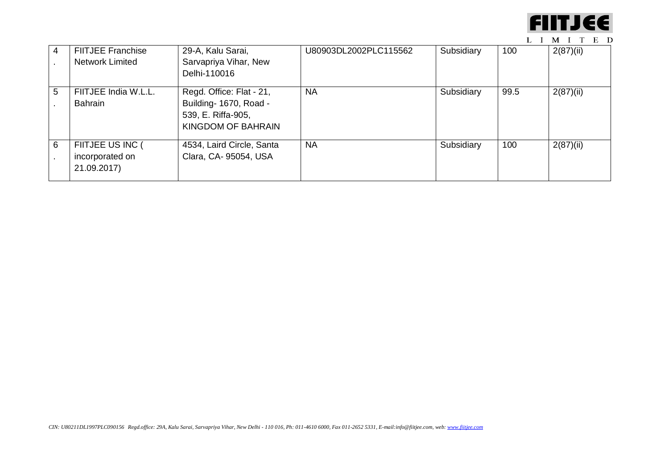

| 4 | <b>FIITJEE Franchise</b><br><b>Network Limited</b> | 29-A, Kalu Sarai,<br>Sarvapriya Vihar, New<br>Delhi-110016                                     | U80903DL2002PLC115562 | Subsidiary | 100  | 2(87)(ii) |
|---|----------------------------------------------------|------------------------------------------------------------------------------------------------|-----------------------|------------|------|-----------|
| 5 | FIITJEE India W.L.L.<br><b>Bahrain</b>             | Regd. Office: Flat - 21,<br>Building- 1670, Road -<br>539, E. Riffa-905,<br>KINGDOM OF BAHRAIN | <b>NA</b>             | Subsidiary | 99.5 | 2(87)(ii) |
| 6 | FIITJEE US INC (<br>incorporated on<br>21.09.2017) | 4534, Laird Circle, Santa<br>Clara, CA- 95054, USA                                             | <b>NA</b>             | Subsidiary | 100  | 2(87)(ii) |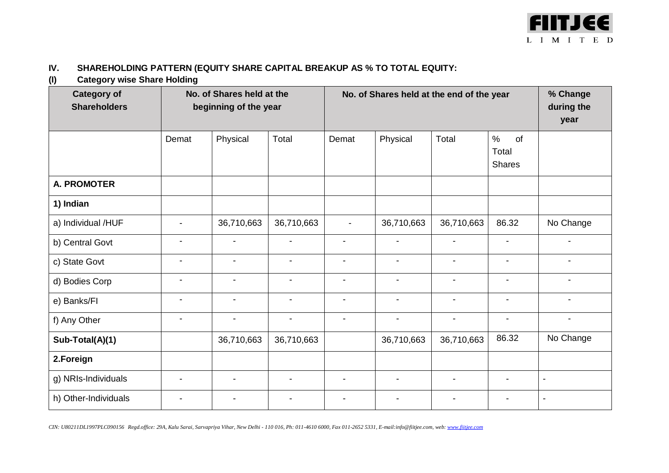

## **IV. SHAREHOLDING PATTERN (EQUITY SHARE CAPITAL BREAKUP AS % TO TOTAL EQUITY:**

**(I) Category wise Share Holding**

| $\cdot$<br>ັ<br><b>Category of</b><br><b>Shareholders</b> | No. of Shares held at the<br>beginning of the year |                          |                          | No. of Shares held at the end of the year |                          |                          |                                      | % Change<br>during the<br>year |
|-----------------------------------------------------------|----------------------------------------------------|--------------------------|--------------------------|-------------------------------------------|--------------------------|--------------------------|--------------------------------------|--------------------------------|
|                                                           | Demat                                              | Physical                 | Total                    | Demat                                     | Physical                 | Total                    | $\%$<br>of<br>Total<br><b>Shares</b> |                                |
| <b>A. PROMOTER</b>                                        |                                                    |                          |                          |                                           |                          |                          |                                      |                                |
| 1) Indian                                                 |                                                    |                          |                          |                                           |                          |                          |                                      |                                |
| a) Individual /HUF                                        |                                                    | 36,710,663               | 36,710,663               |                                           | 36,710,663               | 36,710,663               | 86.32                                | No Change                      |
| b) Central Govt                                           |                                                    |                          |                          |                                           | $\blacksquare$           |                          |                                      |                                |
| c) State Govt                                             |                                                    | $\overline{\phantom{a}}$ | $\overline{\phantom{a}}$ | $\blacksquare$                            | $\blacksquare$           | $\blacksquare$           | $\overline{\phantom{a}}$             | $\blacksquare$                 |
| d) Bodies Corp                                            |                                                    |                          |                          | $\blacksquare$                            | $\blacksquare$           |                          |                                      |                                |
| e) Banks/FI                                               | $\overline{\phantom{a}}$                           | $\overline{\phantom{a}}$ | $\overline{\phantom{a}}$ | $\overline{\phantom{a}}$                  | $\overline{\phantom{a}}$ | $\overline{\phantom{a}}$ | $\overline{\phantom{a}}$             | $\blacksquare$                 |
| f) Any Other                                              |                                                    |                          | $\blacksquare$           |                                           | $\overline{\phantom{a}}$ |                          |                                      | $\overline{\phantom{a}}$       |
| Sub-Total(A)(1)                                           |                                                    | 36,710,663               | 36,710,663               |                                           | 36,710,663               | 36,710,663               | 86.32                                | No Change                      |
| 2.Foreign                                                 |                                                    |                          |                          |                                           |                          |                          |                                      |                                |
| g) NRIs-Individuals                                       |                                                    |                          |                          | $\overline{\phantom{a}}$                  | $\overline{\phantom{a}}$ |                          | -                                    | $\overline{\phantom{a}}$       |
| h) Other-Individuals                                      |                                                    |                          |                          |                                           |                          |                          |                                      |                                |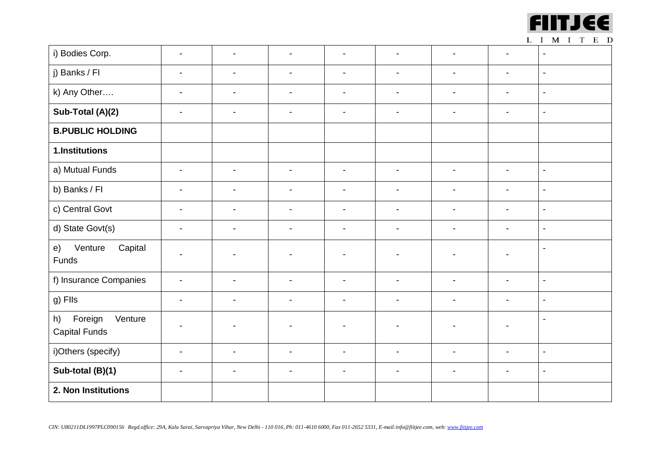

|                                                  |                          |                          |                          |                          |                          |                          | . .                      | $\mathbf{1}$<br>$\sim$ $\sim$ $\sim$ |
|--------------------------------------------------|--------------------------|--------------------------|--------------------------|--------------------------|--------------------------|--------------------------|--------------------------|--------------------------------------|
| i) Bodies Corp.                                  | $\overline{\phantom{a}}$ | $\overline{\phantom{a}}$ | $\overline{\phantom{a}}$ | $\overline{\phantom{a}}$ | $\blacksquare$           | $\blacksquare$           | $\overline{\phantom{a}}$ | $\blacksquare$                       |
| j) Banks / FI                                    | $\blacksquare$           | $\overline{\phantom{a}}$ | $\blacksquare$           | $\overline{\phantom{a}}$ | $\overline{\phantom{a}}$ | $\blacksquare$           | $\blacksquare$           | $\blacksquare$                       |
| k) Any Other                                     | $\blacksquare$           | $\blacksquare$           | $\overline{\phantom{a}}$ | $\overline{\phantom{a}}$ | $\blacksquare$           | $\overline{\phantom{a}}$ | $\blacksquare$           | $\blacksquare$                       |
| Sub-Total (A)(2)                                 | $\blacksquare$           | $\blacksquare$           | $\blacksquare$           | $\overline{\phantom{a}}$ | $\overline{\phantom{a}}$ | $\blacksquare$           | $\blacksquare$           | $\blacksquare$                       |
| <b>B.PUBLIC HOLDING</b>                          |                          |                          |                          |                          |                          |                          |                          |                                      |
| 1.Institutions                                   |                          |                          |                          |                          |                          |                          |                          |                                      |
| a) Mutual Funds                                  | $\blacksquare$           | $\blacksquare$           | $\overline{\phantom{a}}$ | $\blacksquare$           | $\overline{\phantom{a}}$ | $\overline{\phantom{a}}$ | $\blacksquare$           | $\blacksquare$                       |
| b) Banks / FI                                    | $\blacksquare$           | $\blacksquare$           | $\blacksquare$           | $\overline{\phantom{a}}$ | $\blacksquare$           | $\blacksquare$           | $\blacksquare$           | $\blacksquare$                       |
| c) Central Govt                                  | $\overline{\phantom{a}}$ | $\overline{\phantom{a}}$ | $\blacksquare$           | $\overline{\phantom{a}}$ | $\overline{\phantom{a}}$ | $\overline{\phantom{a}}$ | $\overline{\phantom{a}}$ | $\blacksquare$                       |
| d) State Govt(s)                                 | $\blacksquare$           | $\blacksquare$           | $\blacksquare$           | $\blacksquare$           | $\blacksquare$           | $\blacksquare$           | $\blacksquare$           | $\blacksquare$                       |
| Venture<br>Capital<br>e)<br>Funds                |                          |                          |                          | -                        |                          |                          |                          | $\blacksquare$                       |
| f) Insurance Companies                           | $\overline{\phantom{a}}$ | $\overline{\phantom{a}}$ | $\blacksquare$           | $\blacksquare$           | $\overline{\phantom{a}}$ | $\blacksquare$           | $\overline{\phantom{a}}$ | $\blacksquare$                       |
| g) Fils                                          | $\overline{\phantom{a}}$ | $\overline{\phantom{a}}$ | $\blacksquare$           | $\overline{\phantom{a}}$ | $\blacksquare$           |                          | $\blacksquare$           | $\blacksquare$                       |
| Foreign<br>Venture<br>h)<br><b>Capital Funds</b> |                          |                          |                          | $\blacksquare$           |                          |                          |                          | $\blacksquare$                       |
| i)Others (specify)                               | $\blacksquare$           | $\overline{\phantom{a}}$ | $\blacksquare$           | $\blacksquare$           | $\overline{\phantom{a}}$ | $\blacksquare$           | $\blacksquare$           | $\blacksquare$                       |
| Sub-total (B)(1)                                 | $\overline{\phantom{a}}$ | $\blacksquare$           | $\overline{\phantom{a}}$ | $\overline{\phantom{a}}$ | $\overline{\phantom{a}}$ | $\overline{\phantom{a}}$ | $\overline{\phantom{a}}$ | $\overline{\phantom{a}}$             |
| 2. Non Institutions                              |                          |                          |                          |                          |                          |                          |                          |                                      |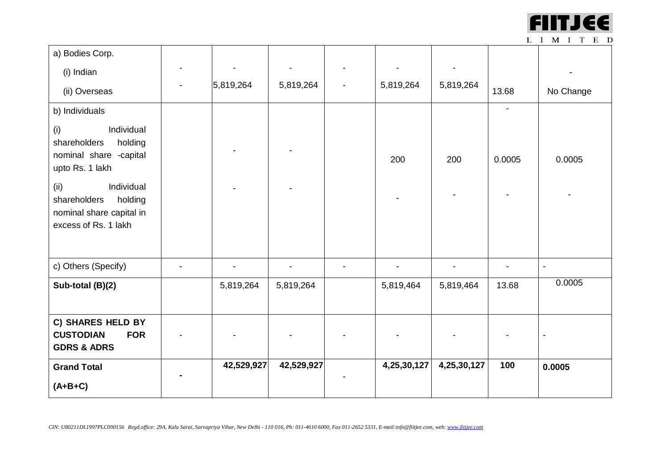

| a) Bodies Corp.                                                                                   |            |            |                          |             |             |                |           |
|---------------------------------------------------------------------------------------------------|------------|------------|--------------------------|-------------|-------------|----------------|-----------|
| (i) Indian                                                                                        |            |            |                          |             |             |                |           |
| (ii) Overseas                                                                                     | 5,819,264  | 5,819,264  | $\overline{\phantom{a}}$ | 5,819,264   | 5,819,264   | 13.68          | No Change |
| b) Individuals                                                                                    |            |            |                          |             |             | $\overline{a}$ |           |
| Individual<br>(i)<br>shareholders<br>holding<br>nominal share -capital<br>upto Rs. 1 lakh         |            |            |                          | 200         | 200         | 0.0005         | 0.0005    |
| Individual<br>(ii)<br>holding<br>shareholders<br>nominal share capital in<br>excess of Rs. 1 lakh |            |            |                          |             |             |                |           |
| c) Others (Specify)                                                                               |            |            |                          |             |             |                |           |
| Sub-total (B)(2)                                                                                  | 5,819,264  | 5,819,264  |                          | 5,819,464   | 5,819,464   | 13.68          | 0.0005    |
| C) SHARES HELD BY<br><b>CUSTODIAN</b><br><b>FOR</b><br><b>GDRS &amp; ADRS</b>                     |            |            |                          |             |             |                |           |
| <b>Grand Total</b><br>$(A+B+C)$                                                                   | 42,529,927 | 42,529,927 |                          | 4,25,30,127 | 4,25,30,127 | 100            | 0.0005    |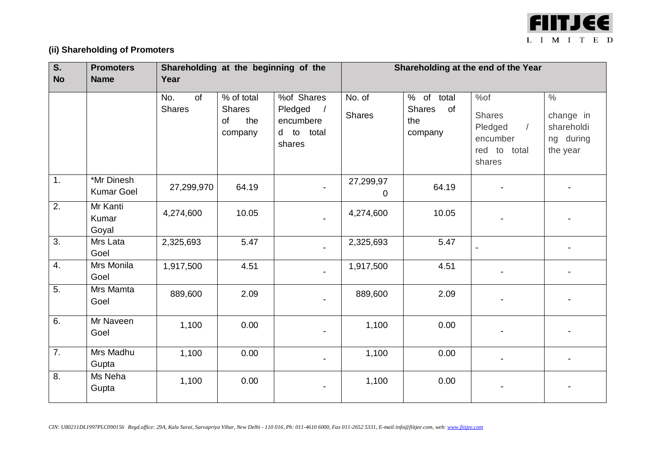

# **(ii) Shareholding of Promoters**

| S.               | <b>Promoters</b>                | Shareholding at the beginning of the |                                                                 |                                                                          | Shareholding at the end of the Year |                                                     |                                                                                     |                                                                   |
|------------------|---------------------------------|--------------------------------------|-----------------------------------------------------------------|--------------------------------------------------------------------------|-------------------------------------|-----------------------------------------------------|-------------------------------------------------------------------------------------|-------------------------------------------------------------------|
| <b>No</b>        | <b>Name</b>                     | Year                                 |                                                                 |                                                                          |                                     |                                                     |                                                                                     |                                                                   |
|                  |                                 | of<br>No.<br><b>Shares</b>           | $\frac{1}{2}$ of total<br><b>Shares</b><br>of<br>the<br>company | %of Shares<br>Pledged<br>$\sqrt{ }$<br>encumbere<br>d to total<br>shares | No. of<br><b>Shares</b>             | % of total<br><b>Shares</b><br>of<br>the<br>company | %of<br><b>Shares</b><br>Pledged<br>$\sqrt{2}$<br>encumber<br>red to total<br>shares | $\frac{0}{2}$<br>change in<br>shareholdi<br>ng during<br>the year |
| 1.               | *Mr Dinesh<br><b>Kumar Goel</b> | 27,299,970                           | 64.19                                                           |                                                                          | 27,299,97<br>0                      | 64.19                                               |                                                                                     |                                                                   |
| $\overline{2}$ . | Mr Kanti<br>Kumar<br>Goyal      | 4,274,600                            | 10.05                                                           |                                                                          | 4,274,600                           | 10.05                                               |                                                                                     |                                                                   |
| $\overline{3}$ . | Mrs Lata<br>Goel                | 2,325,693                            | 5.47                                                            |                                                                          | 2,325,693                           | 5.47                                                |                                                                                     |                                                                   |
| 4.               | Mrs Monila<br>Goel              | 1,917,500                            | 4.51                                                            |                                                                          | 1,917,500                           | 4.51                                                |                                                                                     |                                                                   |
| $\overline{5}$ . | Mrs Mamta<br>Goel               | 889,600                              | 2.09                                                            |                                                                          | 889,600                             | 2.09                                                |                                                                                     |                                                                   |
| 6.               | Mr Naveen<br>Goel               | 1,100                                | 0.00                                                            |                                                                          | 1,100                               | 0.00                                                |                                                                                     |                                                                   |
| $\overline{7}$ . | Mrs Madhu<br>Gupta              | 1,100                                | 0.00                                                            |                                                                          | 1,100                               | 0.00                                                |                                                                                     |                                                                   |
| 8.               | Ms Neha<br>Gupta                | 1,100                                | 0.00                                                            |                                                                          | 1,100                               | 0.00                                                |                                                                                     |                                                                   |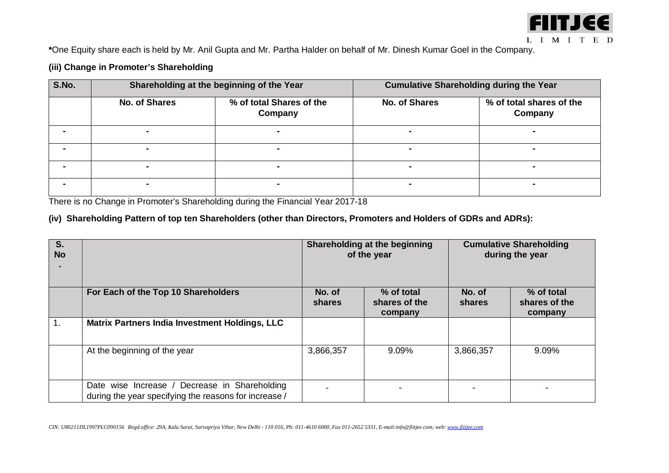

**\***One Equity share each is held by Mr. Anil Gupta and Mr. Partha Halder on behalf of Mr. Dinesh Kumar Goel in the Company.

## **(iii) Change in Promoter's Shareholding**

| S.No. |                      | Shareholding at the beginning of the Year | <b>Cumulative Shareholding during the Year</b> |                                     |  |  |
|-------|----------------------|-------------------------------------------|------------------------------------------------|-------------------------------------|--|--|
|       | <b>No. of Shares</b> | % of total Shares of the<br>Company       | <b>No. of Shares</b>                           | % of total shares of the<br>Company |  |  |
|       | -                    |                                           |                                                |                                     |  |  |
|       | $\blacksquare$       |                                           |                                                |                                     |  |  |
|       | $\blacksquare$       |                                           |                                                |                                     |  |  |
|       | $\blacksquare$       |                                           |                                                |                                     |  |  |

There is no Change in Promoter's Shareholding during the Financial Year 2017-18

## **(iv) Shareholding Pattern of top ten Shareholders (other than Directors, Promoters and Holders of GDRs and ADRs):**

| S.<br><b>No</b> |                                                                                                        |                  | Shareholding at the beginning<br>of the year | <b>Cumulative Shareholding</b><br>during the year |                                        |  |
|-----------------|--------------------------------------------------------------------------------------------------------|------------------|----------------------------------------------|---------------------------------------------------|----------------------------------------|--|
|                 | For Each of the Top 10 Shareholders                                                                    | No. of<br>shares | % of total<br>shares of the<br>company       | No. of<br>shares                                  | % of total<br>shares of the<br>company |  |
|                 | <b>Matrix Partners India Investment Holdings, LLC</b>                                                  |                  |                                              |                                                   |                                        |  |
|                 | At the beginning of the year                                                                           | 3,866,357        | 9.09%                                        | 3,866,357                                         | 9.09%                                  |  |
|                 | Date wise Increase / Decrease in Shareholding<br>during the year specifying the reasons for increase / |                  |                                              |                                                   |                                        |  |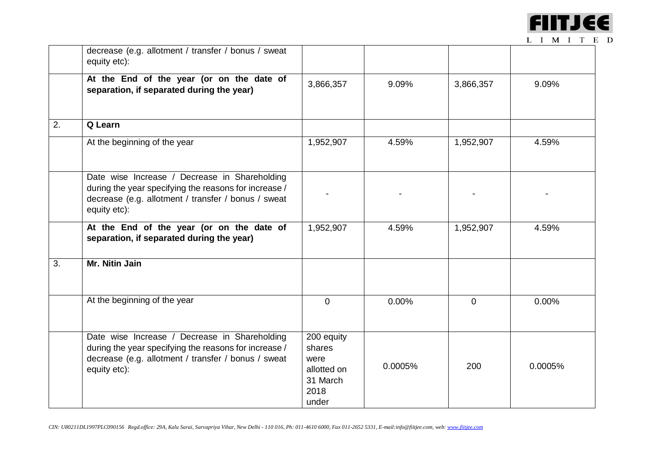

|    | decrease (e.g. allotment / transfer / bonus / sweat<br>equity etc):                                                                                                           |                                                                          |         |           |         |
|----|-------------------------------------------------------------------------------------------------------------------------------------------------------------------------------|--------------------------------------------------------------------------|---------|-----------|---------|
|    | At the End of the year (or on the date of<br>separation, if separated during the year)                                                                                        | 3,866,357                                                                | 9.09%   | 3,866,357 | 9.09%   |
| 2. | Q Learn                                                                                                                                                                       |                                                                          |         |           |         |
|    | At the beginning of the year                                                                                                                                                  | 1,952,907                                                                | 4.59%   | 1,952,907 | 4.59%   |
|    | Date wise Increase / Decrease in Shareholding<br>during the year specifying the reasons for increase /<br>decrease (e.g. allotment / transfer / bonus / sweat<br>equity etc): |                                                                          |         |           |         |
|    | At the End of the year (or on the date of<br>separation, if separated during the year)                                                                                        | 1,952,907                                                                | 4.59%   | 1,952,907 | 4.59%   |
| 3. | Mr. Nitin Jain                                                                                                                                                                |                                                                          |         |           |         |
|    | At the beginning of the year                                                                                                                                                  | $\Omega$                                                                 | 0.00%   | $\Omega$  | 0.00%   |
|    | Date wise Increase / Decrease in Shareholding<br>during the year specifying the reasons for increase /<br>decrease (e.g. allotment / transfer / bonus / sweat<br>equity etc): | 200 equity<br>shares<br>were<br>allotted on<br>31 March<br>2018<br>under | 0.0005% | 200       | 0.0005% |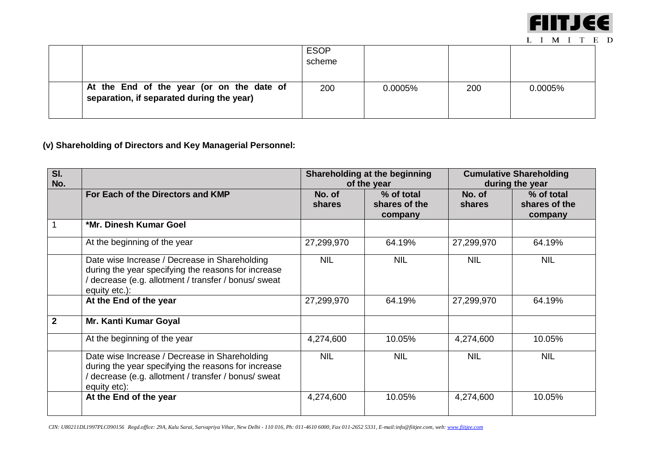

|                                                                                        | <b>ESOP</b><br>scheme |         |     |         |
|----------------------------------------------------------------------------------------|-----------------------|---------|-----|---------|
| At the End of the year (or on the date of<br>separation, if separated during the year) | 200                   | 0.0005% | 200 | 0.0005% |

**(v) Shareholding of Directors and Key Managerial Personnel:**

| SI.<br>No.   |                                                                                                                                                                               |                         | Shareholding at the beginning<br>of the year | <b>Cumulative Shareholding</b><br>during the year |                                        |
|--------------|-------------------------------------------------------------------------------------------------------------------------------------------------------------------------------|-------------------------|----------------------------------------------|---------------------------------------------------|----------------------------------------|
|              | For Each of the Directors and KMP                                                                                                                                             | No. of<br><b>shares</b> | % of total<br>shares of the<br>company       | No. of<br><b>shares</b>                           | % of total<br>shares of the<br>company |
|              | *Mr. Dinesh Kumar Goel                                                                                                                                                        |                         |                                              |                                                   |                                        |
|              | At the beginning of the year                                                                                                                                                  | 27,299,970              | 64.19%                                       | 27,299,970                                        | 64.19%                                 |
|              | Date wise Increase / Decrease in Shareholding<br>during the year specifying the reasons for increase<br>/ decrease (e.g. allotment / transfer / bonus/ sweat<br>equity etc.): | <b>NIL</b>              | <b>NIL</b>                                   | <b>NIL</b>                                        | <b>NIL</b>                             |
|              | At the End of the year                                                                                                                                                        | 27,299,970              | 64.19%                                       | 27,299,970                                        | 64.19%                                 |
| $\mathbf{2}$ | Mr. Kanti Kumar Goyal                                                                                                                                                         |                         |                                              |                                                   |                                        |
|              | At the beginning of the year                                                                                                                                                  | 4,274,600               | 10.05%                                       | 4,274,600                                         | 10.05%                                 |
|              | Date wise Increase / Decrease in Shareholding<br>during the year specifying the reasons for increase<br>/ decrease (e.g. allotment / transfer / bonus/ sweat<br>equity etc):  | <b>NIL</b>              | <b>NIL</b>                                   | <b>NIL</b>                                        | <b>NIL</b>                             |
|              | At the End of the year                                                                                                                                                        | 4,274,600               | 10.05%                                       | 4,274,600                                         | 10.05%                                 |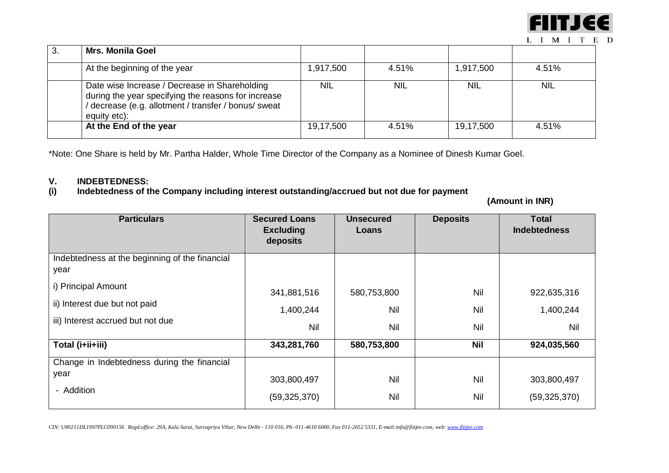

| 3. | <b>Mrs. Monila Goel</b>                                                                                                                                                    |            |            |            |            |
|----|----------------------------------------------------------------------------------------------------------------------------------------------------------------------------|------------|------------|------------|------------|
|    | At the beginning of the year                                                                                                                                               | 1,917,500  | 4.51%      | 1,917,500  | 4.51%      |
|    | Date wise Increase / Decrease in Shareholding<br>during the year specifying the reasons for increase<br>decrease (e.g. allotment / transfer / bonus/ sweat<br>equity etc): | <b>NIL</b> | <b>NIL</b> | <b>NIL</b> | <b>NIL</b> |
|    | At the End of the year                                                                                                                                                     | 19,17,500  | 4.51%      | 19,17,500  | 4.51%      |

\*Note: One Share is held by Mr. Partha Halder, Whole Time Director of the Company as a Nominee of Dinesh Kumar Goel.

## **V. INDEBTEDNESS: (i) Indebtedness of the Company including interest outstanding/accrued but not due for payment**

 **(Amount in INR)**

| <b>Particulars</b>                                                                        | <b>Secured Loans</b><br><b>Excluding</b><br>deposits | <b>Unsecured</b><br>Loans        | <b>Deposits</b>   | <b>Total</b><br><b>Indebtedness</b> |
|-------------------------------------------------------------------------------------------|------------------------------------------------------|----------------------------------|-------------------|-------------------------------------|
| Indebtedness at the beginning of the financial<br>year                                    |                                                      |                                  |                   |                                     |
| i) Principal Amount<br>ii) Interest due but not paid<br>iii) Interest accrued but not due | 341,881,516<br>1,400,244<br>Nil                      | 580,753,800<br>Nil<br><b>Nil</b> | Nil<br>Nil<br>Nil | 922,635,316<br>1,400,244<br>Nil     |
| Total (i+ii+iii)<br>Change in Indebtedness during the financial                           | 343,281,760                                          | 580,753,800                      | <b>Nil</b>        | 924,035,560                         |
| year<br>- Addition                                                                        | 303,800,497<br>(59, 325, 370)                        | <b>Nil</b><br>Nil                | Nil<br>Nil        | 303,800,497<br>(59, 325, 370)       |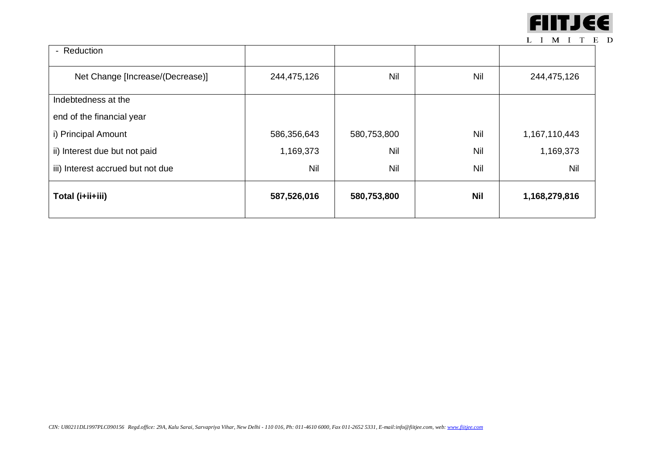

| Total (i+ii+iii)                  | 587,526,016 | 580,753,800 | <b>Nil</b> | 1,168,279,816 |
|-----------------------------------|-------------|-------------|------------|---------------|
| iii) Interest accrued but not due | Nil         | Nil         | Nil        | Nil           |
| ii) Interest due but not paid     | 1,169,373   | Nil         | Nil        | 1,169,373     |
| i) Principal Amount               | 586,356,643 | 580,753,800 | Nil        | 1,167,110,443 |
| end of the financial year         |             |             |            |               |
| Indebtedness at the               |             |             |            |               |
| Net Change [Increase/(Decrease)]  | 244,475,126 | Nil         | Nil        | 244,475,126   |
| - Reduction                       |             |             |            |               |
|                                   |             |             |            |               |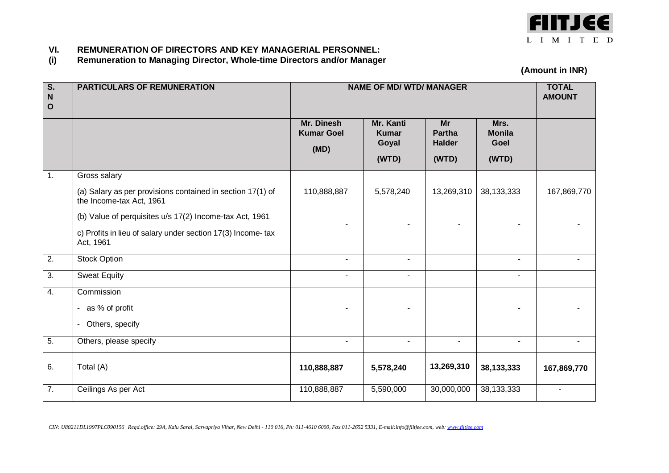

# **VI. REMUNERATION OF DIRECTORS AND KEY MANAGERIAL PERSONNEL:**

**(i) Remuneration to Managing Director, Whole-time Directors and/or Manager**

**(Amount in INR)**

| $\overline{\mathsf{s}}$ .<br>${\bf N}$<br>$\mathbf O$ | <b>PARTICULARS OF REMUNERATION</b>                                                     | <b>NAME OF MD/ WTD/ MANAGER</b>         |                                             |                                               |                                        | <b>TOTAL</b><br><b>AMOUNT</b> |
|-------------------------------------------------------|----------------------------------------------------------------------------------------|-----------------------------------------|---------------------------------------------|-----------------------------------------------|----------------------------------------|-------------------------------|
|                                                       |                                                                                        | Mr. Dinesh<br><b>Kumar Goel</b><br>(MD) | Mr. Kanti<br><b>Kumar</b><br>Goyal<br>(WTD) | Mr<br><b>Partha</b><br><b>Halder</b><br>(WTD) | Mrs.<br><b>Monila</b><br>Goel<br>(WTD) |                               |
| $\overline{1}$ .                                      | Gross salary                                                                           |                                         |                                             |                                               |                                        |                               |
|                                                       | (a) Salary as per provisions contained in section 17(1) of<br>the Income-tax Act, 1961 | 110,888,887                             | 5,578,240                                   | 13,269,310                                    | 38,133,333                             | 167,869,770                   |
|                                                       | (b) Value of perquisites u/s 17(2) Income-tax Act, 1961                                |                                         |                                             |                                               |                                        |                               |
|                                                       | c) Profits in lieu of salary under section 17(3) Income-tax<br>Act, 1961               |                                         |                                             |                                               |                                        |                               |
| $\overline{2}$ .                                      | <b>Stock Option</b>                                                                    | $\blacksquare$                          | $\blacksquare$                              |                                               | $\blacksquare$                         |                               |
| $\overline{3}$ .                                      | <b>Sweat Equity</b>                                                                    | $\blacksquare$                          | $\blacksquare$                              |                                               | $\blacksquare$                         |                               |
| 4.                                                    | Commission                                                                             |                                         |                                             |                                               |                                        |                               |
|                                                       | - as % of profit                                                                       |                                         |                                             |                                               |                                        |                               |
|                                                       | - Others, specify                                                                      |                                         |                                             |                                               |                                        |                               |
| 5.                                                    | Others, please specify                                                                 |                                         |                                             |                                               | $\blacksquare$                         |                               |
| 6.                                                    | Total (A)                                                                              | 110,888,887                             | 5,578,240                                   | 13,269,310                                    | 38, 133, 333                           | 167,869,770                   |
| 7.                                                    | Ceilings As per Act                                                                    | 110,888,887                             | 5,590,000                                   | 30,000,000                                    | 38, 133, 333                           |                               |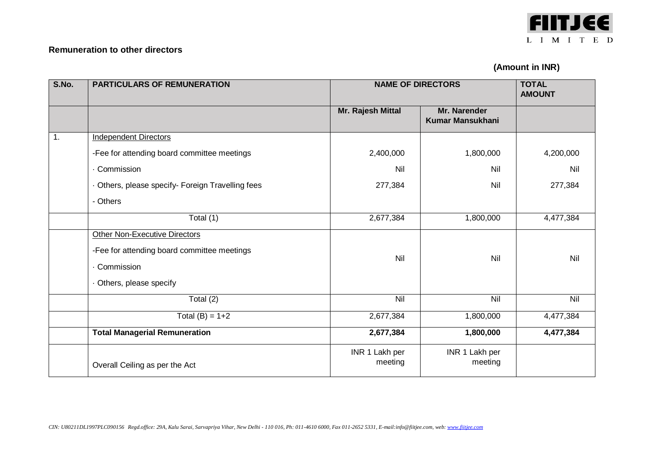

## **Remuneration to other directors**

# **(Amount in INR)**

| S.No. | <b>PARTICULARS OF REMUNERATION</b>              | <b>NAME OF DIRECTORS</b> |                                         | <b>TOTAL</b><br><b>AMOUNT</b> |
|-------|-------------------------------------------------|--------------------------|-----------------------------------------|-------------------------------|
|       |                                                 | Mr. Rajesh Mittal        | Mr. Narender<br><b>Kumar Mansukhani</b> |                               |
| 1.    | <b>Independent Directors</b>                    |                          |                                         |                               |
|       | -Fee for attending board committee meetings     | 2,400,000                | 1,800,000                               | 4,200,000                     |
|       | Commission                                      | Nil                      | Nil                                     | Nil                           |
|       | Others, please specify- Foreign Travelling fees | 277,384                  | Nil                                     | 277,384                       |
|       | - Others                                        |                          |                                         |                               |
|       | Total (1)                                       | 2,677,384                | 1,800,000                               | 4,477,384                     |
|       | <b>Other Non-Executive Directors</b>            |                          |                                         |                               |
|       | -Fee for attending board committee meetings     | Nil                      | Nil                                     | Nil                           |
|       | Commission                                      |                          |                                         |                               |
|       | Others, please specify                          |                          |                                         |                               |
|       | Total $(2)$                                     | Nil                      | $\overline{N}$                          | Nil                           |
|       | Total $(B) = 1+2$                               | 2,677,384                | 1,800,000                               | 4,477,384                     |
|       | <b>Total Managerial Remuneration</b>            | 2,677,384                | 1,800,000                               | 4,477,384                     |
|       |                                                 | INR 1 Lakh per           | INR 1 Lakh per                          |                               |
|       | Overall Ceiling as per the Act                  | meeting                  | meeting                                 |                               |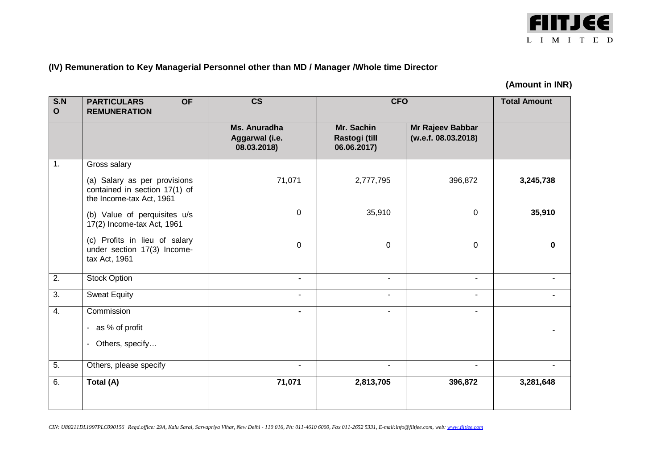

# **(IV) Remuneration to Key Managerial Personnel other than MD / Manager /Whole time Director**

# **(Amount in INR)**

| S.N<br>$\mathbf{o}$ | <b>OF</b><br><b>PARTICULARS</b><br><b>REMUNERATION</b>                                    | $\overline{\text{cs}}$                        | <b>CFO</b>                                 |                                         | <b>Total Amount</b> |
|---------------------|-------------------------------------------------------------------------------------------|-----------------------------------------------|--------------------------------------------|-----------------------------------------|---------------------|
|                     |                                                                                           | Ms. Anuradha<br>Aggarwal (i.e.<br>08.03.2018) | Mr. Sachin<br>Rastogi (till<br>06.06.2017) | Mr Rajeev Babbar<br>(w.e.f. 08.03.2018) |                     |
| 1.                  | Gross salary                                                                              |                                               |                                            |                                         |                     |
|                     | (a) Salary as per provisions<br>contained in section 17(1) of<br>the Income-tax Act, 1961 | 71,071                                        | 2,777,795                                  | 396,872                                 | 3,245,738           |
|                     | (b) Value of perquisites u/s<br>17(2) Income-tax Act, 1961                                | $\mathbf 0$                                   | 35,910                                     | $\mathbf 0$                             | 35,910              |
|                     | (c) Profits in lieu of salary<br>under section 17(3) Income-<br>tax Act, 1961             | 0                                             | $\mathbf 0$                                | $\mathbf 0$                             | 0                   |
| $\overline{2}$ .    | <b>Stock Option</b>                                                                       | $\blacksquare$                                | $\sim$                                     | $\overline{\phantom{a}}$                |                     |
| $\overline{3}$ .    | <b>Sweat Equity</b>                                                                       | $\blacksquare$                                | $\sim$                                     | $\blacksquare$                          |                     |
| 4.                  | Commission                                                                                | $\blacksquare$                                | $\blacksquare$                             | $\blacksquare$                          |                     |
|                     | - as % of profit                                                                          |                                               |                                            |                                         |                     |
|                     | Others, specify<br>$\blacksquare$                                                         |                                               |                                            |                                         |                     |
| 5.                  | Others, please specify                                                                    | ۰                                             | н.                                         | -                                       |                     |
| 6.                  | Total (A)                                                                                 | 71,071                                        | 2,813,705                                  | 396,872                                 | 3,281,648           |